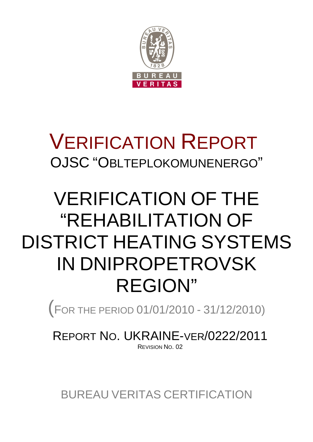

## VERIFICATION REPORT OJSC "OBLTEPLOKOMUNENERGO"

# VERIFICATION OF THE "REHABILITATION OF DISTRICT HEATING SYSTEMS IN DNIPROPETROVSK REGION"

(<sup>F</sup>OR THE PERIOD 01/01/2010 - 31/12/2010)

REPORT NO. UKRAINE-VER/0222/2011 REVISION NO. 02

BUREAU VERITAS CERTIFICATION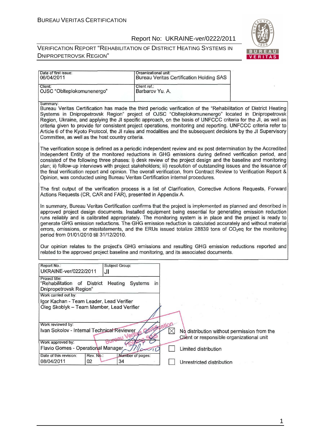#### Report No: UKRAINE-ver/0222/2011



| Date of first issue:<br>06/04/2011                                                                                                                                                                                                                                                                                                                                                                                                                                                                                                                                                                                                                                        | Organizational unit:                                                                                                                                                                                                                                                                                                                                                                                                                                                                                                                                                             | <b>Bureau Veritas Certification Holding SAS</b>                                                                  |  |  |  |  |
|---------------------------------------------------------------------------------------------------------------------------------------------------------------------------------------------------------------------------------------------------------------------------------------------------------------------------------------------------------------------------------------------------------------------------------------------------------------------------------------------------------------------------------------------------------------------------------------------------------------------------------------------------------------------------|----------------------------------------------------------------------------------------------------------------------------------------------------------------------------------------------------------------------------------------------------------------------------------------------------------------------------------------------------------------------------------------------------------------------------------------------------------------------------------------------------------------------------------------------------------------------------------|------------------------------------------------------------------------------------------------------------------|--|--|--|--|
| Client:<br>OJSC "Oblteplokomunenergo"                                                                                                                                                                                                                                                                                                                                                                                                                                                                                                                                                                                                                                     | Client ref.:<br>Barbarov Yu. A.                                                                                                                                                                                                                                                                                                                                                                                                                                                                                                                                                  |                                                                                                                  |  |  |  |  |
| Summary:<br>Bureau Veritas Certification has made the third periodic verification of the "Rehabilitation of District Heating<br>Systems in Dnipropetrovsk Region" project of OJSC "Oblteplokomunenergo" located in Dnipropetrovsk<br>Region, Ukraine, and applying the JI specific approach, on the basis of UNFCCC criteria for the JI, as well as<br>criteria given to provide for consistent project operations, monitoring and reporting. UNFCCC criteria refer to<br>Article 6 of the Kyoto Protocol, the JI rules and modalities and the subsequent decisions by the JI Supervisory<br>Committee, as well as the host country criteria.                             |                                                                                                                                                                                                                                                                                                                                                                                                                                                                                                                                                                                  |                                                                                                                  |  |  |  |  |
| The verification scope is defined as a periodic independent review and ex post determination by the Accredited<br>Independent Entity of the monitored reductions in GHG emissions during defined verification period, and<br>consisted of the following three phases: i) desk review of the project design and the baseline and monitoring<br>plan; ii) follow-up interviews with project stakeholders; iii) resolution of outstanding issues and the issuance of<br>the final verification report and opinion. The overall verification, from Contract Review to Verification Report &<br>Opinion, was conducted using Bureau Veritas Certification internal procedures. |                                                                                                                                                                                                                                                                                                                                                                                                                                                                                                                                                                                  |                                                                                                                  |  |  |  |  |
| The first output of the verification process is a list of Clarification, Corrective Actions Requests, Forward<br>Actions Requests (CR, CAR and FAR), presented in Appendix A.                                                                                                                                                                                                                                                                                                                                                                                                                                                                                             |                                                                                                                                                                                                                                                                                                                                                                                                                                                                                                                                                                                  |                                                                                                                  |  |  |  |  |
| period from 01/01/2010 till 31/12/2010.                                                                                                                                                                                                                                                                                                                                                                                                                                                                                                                                                                                                                                   | In summary, Bureau Veritas Certification confirms that the project is implemented as planned and described in<br>approved project design documents. Installed equipment being essential for generating emission reduction<br>runs reliably and is calibrated appropriately. The monitoring system is in place and the project is ready to<br>generate GHG emission reductions. The GHG emission reduction is calculated accurately and without material<br>errors, omissions, or misstatements, and the ERUs issued totalize 28839 tons of CO <sub>2</sub> eq for the monitoring |                                                                                                                  |  |  |  |  |
| Our opinion relates to the project's GHG emissions and resulting GHG emission reductions reported and<br>related to the approved project baseline and monitoring, and its associated documents.                                                                                                                                                                                                                                                                                                                                                                                                                                                                           |                                                                                                                                                                                                                                                                                                                                                                                                                                                                                                                                                                                  |                                                                                                                  |  |  |  |  |
| Report No.:<br><b>Subject Group:</b><br>UKRAINE-ver/0222/2011<br>JI                                                                                                                                                                                                                                                                                                                                                                                                                                                                                                                                                                                                       |                                                                                                                                                                                                                                                                                                                                                                                                                                                                                                                                                                                  |                                                                                                                  |  |  |  |  |
| Project title:<br>"Rehabilitation of District Heating Systems<br>Dnipropetrovsk Region"<br>Work carried out by:                                                                                                                                                                                                                                                                                                                                                                                                                                                                                                                                                           | $\mathsf{in}$                                                                                                                                                                                                                                                                                                                                                                                                                                                                                                                                                                    |                                                                                                                  |  |  |  |  |
| Igor Kachan - Team Leader, Lead Verifier<br>Oleg Skoblyk - Team Member, Lead Verifier                                                                                                                                                                                                                                                                                                                                                                                                                                                                                                                                                                                     |                                                                                                                                                                                                                                                                                                                                                                                                                                                                                                                                                                                  |                                                                                                                  |  |  |  |  |
| Work reviewed by:<br>Ivan Sokolov - Internal Technical Reviewer<br>Work approved by:                                                                                                                                                                                                                                                                                                                                                                                                                                                                                                                                                                                      |                                                                                                                                                                                                                                                                                                                                                                                                                                                                                                                                                                                  | ation<br>$\boxtimes$<br>No distribution without permission from the<br>Client or responsible organizational unit |  |  |  |  |
| Flavio Gomes - Operational Manager<br>Date of this revision:<br>Rev. No.:                                                                                                                                                                                                                                                                                                                                                                                                                                                                                                                                                                                                 | Number of pages:                                                                                                                                                                                                                                                                                                                                                                                                                                                                                                                                                                 | Limited distribution                                                                                             |  |  |  |  |
| 08/04/2011<br>02<br>34                                                                                                                                                                                                                                                                                                                                                                                                                                                                                                                                                                                                                                                    |                                                                                                                                                                                                                                                                                                                                                                                                                                                                                                                                                                                  | Unrestricted distribution                                                                                        |  |  |  |  |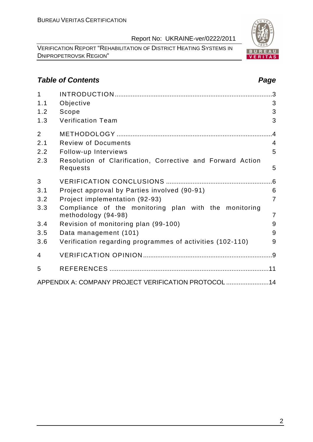VERIFICATION REPORT "REHABILITATION OF DISTRICT HEATING SYSTEMS IN DNIPROPETROVSK REGION"

#### **Table of Contents Page 2018**

| $\overline{1}$ |                                                                              | 3              |
|----------------|------------------------------------------------------------------------------|----------------|
| 1.1            | Objective                                                                    | 3              |
| 1.2            | Scope                                                                        | 3              |
| 1.3            | <b>Verification Team</b>                                                     | 3              |
| $\overline{2}$ |                                                                              |                |
| 2.1            | <b>Review of Documents</b>                                                   | $\overline{4}$ |
| 2.2            | Follow-up Interviews                                                         | 5              |
| 2.3            | Resolution of Clarification, Corrective and Forward Action<br>Requests       | 5              |
| 3              |                                                                              |                |
| 3.1            | Project approval by Parties involved (90-91)                                 | 6              |
| 3.2            | Project implementation (92-93)                                               | $\overline{7}$ |
| 3.3            | Compliance of the monitoring plan with the monitoring<br>methodology (94-98) | $\overline{7}$ |
| 3.4            | Revision of monitoring plan (99-100)                                         | 9              |
| 3.5            | Data management (101)                                                        | 9              |
| 3.6            | Verification regarding programmes of activities (102-110)                    | 9              |
| 4              |                                                                              |                |
| 5              |                                                                              |                |
|                | APPENDIX A: COMPANY PROJECT VERIFICATION PROTOCOL  14                        |                |

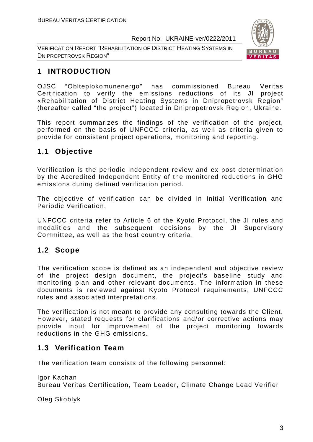VERIFICATION REPORT "REHABILITATION OF DISTRICT HEATING SYSTEMS IN DNIPROPETROVSK REGION"



### **1 INTRODUCTION**

OJSC "Oblteplokomunenergo" has commissioned Bureau Veritas Certification to verify the emissions reductions of its JI project «Rehabilitation of District Heating Systems in Dnipropetrovsk Region" (hereafter called "the project") located in Dnipropetrovsk Region, Ukraine.

This report summarizes the findings of the verification of the project, performed on the basis of UNFCCC criteria, as well as criteria given to provide for consistent project operations, monitoring and reporting.

#### **1.1 Objective**

Verification is the periodic independent review and ex post determination by the Accredited Independent Entity of the monitored reductions in GHG emissions during defined verification period.

The objective of verification can be divided in Initial Verification and Periodic Verification.

UNFCCC criteria refer to Article 6 of the Kyoto Protocol, the JI rules and modalities and the subsequent decisions by the JI Supervisory Committee, as well as the host country criteria.

#### **1.2 Scope**

The verification scope is defined as an independent and objective review of the project design document, the project's baseline study and monitoring plan and other relevant documents. The information in these documents is reviewed against Kyoto Protocol requirements, UNFCCC rules and associated interpretations.

The verification is not meant to provide any consulting towards the Client. However, stated requests for clarifications and/or corrective actions may provide input for improvement of the project monitoring towards reductions in the GHG emissions.

#### **1.3 Verification Team**

The verification team consists of the following personnel:

Igor Kachan

Bureau Veritas Certification, Team Leader, Climate Change Lead Verifier

Oleg Skoblyk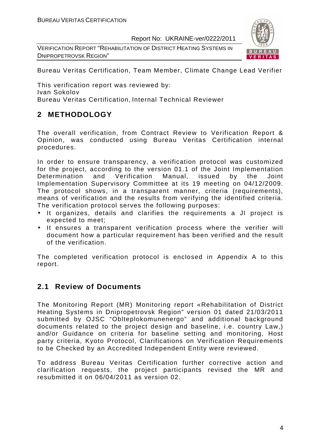VERIFICATION REPORT "REHABILITATION OF DISTRICT HEATING SYSTEMS IN DNIPROPETROVSK REGION"



Bureau Veritas Certification, Team Member, Climate Change Lead Verifier

This verification report was reviewed by: Ivan Sokolov Bureau Veritas Certification, Internal Technical Reviewer

#### **2 METHODOLOGY**

The overall verification, from Contract Review to Verification Report & Opinion, was conducted using Bureau Veritas Certification internal procedures.

In order to ensure transparency, a verification protocol was customized for the project, according to the version 01.1 of the Joint Implementation Determination and Verification Manual, issued by the Joint Implementation Supervisory Committee at its 19 meeting on 04/12/2009. The protocol shows, in a transparent manner, criteria (requirements), means of verification and the results from verifying the identified criteria. The verification protocol serves the following purposes:

- It organizes, details and clarifies the requirements a JI project is expected to meet;
- It ensures a transparent verification process where the verifier will document how a particular requirement has been verified and the result of the verification.

The completed verification protocol is enclosed in Appendix A to this report.

#### **2.1 Review of Documents**

The Monitoring Report (MR) Monitoring report «Rehabilitation of District Heating Systems in Dnipropetrovsk Region" version 01 dated 21/03/2011 submitted by OJSC "Oblteplokomunenergo" and additional background documents related to the project design and baseline, i.e. country Law,) and/or Guidance on criteria for baseline setting and monitoring, Host party criteria, Kyoto Protocol, Clarifications on Verification Requirements to be Checked by an Accredited Independent Entity were reviewed.

To address Bureau Veritas Certification further corrective action and clarification requests, the project participants revised the MR and resubmitted it on 06/04/2011 as version 02.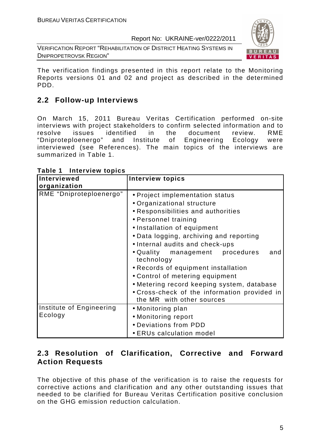VERIFICATION REPORT "REHABILITATION OF DISTRICT HEATING SYSTEMS IN DNIPROPETROVSK REGION"



The verification findings presented in this report relate to the Monitoring Reports versions 01 and 02 and project as described in the determined PDD.

#### **2.2 Follow-up Interviews**

On March 15, 2011 Bureau Veritas Certification performed on-site interviews with project stakeholders to confirm selected information and to resolve issues identified in the document review. RME "Dniproteploenergo" and Institute of Engineering Ecology were interviewed (see References). The main topics of the interviews are summarized in Table 1.

| Interviewed                         | <b>Interview topics</b>                                                                                                                                                                                                                                                                      |
|-------------------------------------|----------------------------------------------------------------------------------------------------------------------------------------------------------------------------------------------------------------------------------------------------------------------------------------------|
| organization                        |                                                                                                                                                                                                                                                                                              |
| RME "Dniproteploenergo"             | • Project implementation status<br>• Organizational structure<br>• Responsibilities and authorities<br>• Personnel training<br>• Installation of equipment<br>• Data logging, archiving and reporting                                                                                        |
|                                     | • Internal audits and check-ups<br>• Quality management procedures<br>and<br>technology<br>• Records of equipment installation<br>• Control of metering equipment<br>• Metering record keeping system, database<br>• Cross-check of the information provided in<br>the MR with other sources |
| Institute of Engineering<br>Ecology | • Monitoring plan<br>• Monitoring report<br>• Deviations from PDD<br>• ERUs calculation model                                                                                                                                                                                                |

**Table 1 Interview topics** 

#### **2.3 Resolution of Clarification, Corrective and Forward Action Requests**

The objective of this phase of the verification is to raise the requests for corrective actions and clarification and any other outstanding issues that needed to be clarified for Bureau Veritas Certification positive conclusion on the GHG emission reduction calculation.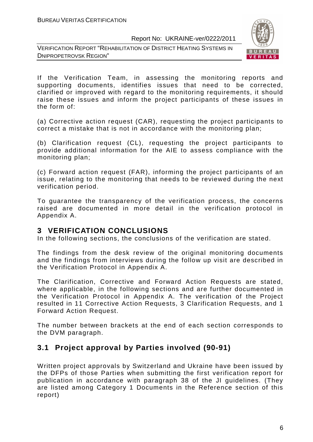



If the Verification Team, in assessing the monitoring reports and supporting documents, identifies issues that need to be corrected, clarified or improved with regard to the monitoring requirements, it should raise these issues and inform the project participants of these issues in the form of:

(a) Corrective action request (CAR), requesting the project participants to correct a mistake that is not in accordance with the monitoring plan;

(b) Clarification request (CL), requesting the project participants to provide additional information for the AIE to assess compliance with the monitoring plan;

(c) Forward action request (FAR), informing the project participants of an issue, relating to the monitoring that needs to be reviewed during the next verification period.

To guarantee the transparency of the verification process, the concerns raised are documented in more detail in the verification protocol in Appendix A.

#### **3 VERIFICATION CONCLUSIONS**

In the following sections, the conclusions of the verification are stated.

The findings from the desk review of the original monitoring documents and the findings from interviews during the follow up visit are described in the Verification Protocol in Appendix A.

The Clarification, Corrective and Forward Action Requests are stated, where applicable, in the following sections and are further documented in the Verification Protocol in Appendix A. The verification of the Project resulted in 11 Corrective Action Requests, 3 Clarification Requests, and 1 Forward Action Request.

The number between brackets at the end of each section corresponds to the DVM paragraph.

#### **3.1 Project approval by Parties involved (90-91)**

Written project approvals by Switzerland and Ukraine have been issued by the DFPs of those Parties when submitting the first verification report for publication in accordance with paragraph 38 of the JI guidelines. (They are listed among Category 1 Documents in the Reference section of this report)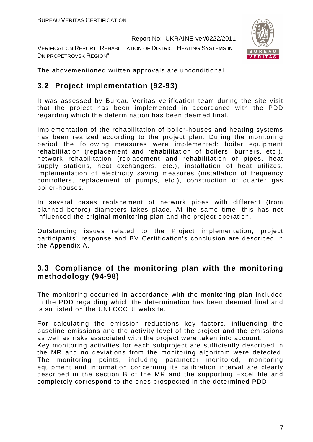VERIFICATION REPORT "REHABILITATION OF DISTRICT HEATING SYSTEMS IN DNIPROPETROVSK REGION"



The abovementioned written approvals are unconditional.

#### **3.2 Project implementation (92-93)**

It was assessed by Bureau Veritas verification team during the site visit that the project has been implemented in accordance with the PDD regarding which the determination has been deemed final.

Implementation of the rehabilitation of boiler-houses and heating systems has been realized according to the project plan. During the monitoring period the following measures were implemented: boiler equipment rehabilitation (replacement and rehabilitation of boilers, burners, etc.), network rehabilitation (replacement and rehabilitation of pipes, heat supply stations, heat exchangers, etc.), installation of heat utilizes, implementation of electricity saving measures (installation of frequency controllers, replacement of pumps, etc.), construction of quarter gas boiler-houses.

In several cases replacement of network pipes with different (from planned before) diameters takes place. At the same time, this has not influenced the original monitoring plan and the project operation.

Outstanding issues related to the Project implementation, project participants` response and BV Certification's conclusion are described in the Appendix A.

#### **3.3 Compliance of the monitoring plan with the monitoring methodology (94-98)**

The monitoring occurred in accordance with the monitoring plan included in the PDD regarding which the determination has been deemed final and is so listed on the UNFCCC JI website.

For calculating the emission reductions key factors, influencing the baseline emissions and the activity level of the project and the emissions as well as risks associated with the project were taken into account. Key monitoring activities for each subproject are sufficiently described in the MR and no deviations from the monitoring algorithm were detected. The monitoring points, including parameter monitored, monitoring equipment and information concerning its calibration interval are clearly described in the section B of the MR and the supporting Excel file and completely correspond to the ones prospected in the determined PDD.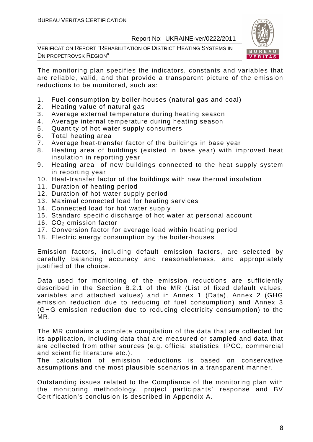VERIFICATION REPORT "REHABILITATION OF DISTRICT HEATING SYSTEMS IN DNIPROPETROVSK REGION"



The monitoring plan specifies the indicators, constants and variables that are reliable, valid, and that provide a transparent picture of the emission reductions to be monitored, such as:

- 1. Fuel consumption by boiler-houses (natural gas and coal)
- 2. Heating value of natural gas
- 3. Average external temperature during heating season
- 4. Average internal temperature during heating season
- 5. Quantity of hot water supply consumers
- 6. Total heating area
- 7. Average heat-transfer factor of the buildings in base year
- 8. Heating area of buildings (existed in base year) with improved heat insulation in reporting year
- 9. Heating area of new buildings connected to the heat supply system in reporting year
- 10. Heat-transfer factor of the buildings with new thermal insulation
- 11. Duration of heating period
- 12. Duration of hot water supply period
- 13. Maximal connected load for heating services
- 14. Connected load for hot water supply
- 15. Standard specific discharge of hot water at personal account
- 16.  $CO<sub>2</sub>$  emission factor
- 17. Conversion factor for average load within heating period
- 18. Electric energy consumption by the boiler-houses

Emission factors, including default emission factors, are selected by carefully balancing accuracy and reasonableness, and appropriately justified of the choice.

Data used for monitoring of the emission reductions are sufficiently described in the Section B.2.1 of the MR (List of fixed default values, variables and attached values) and in Annex 1 (Data), Annex 2 (GHG emission reduction due to reducing of fuel consumption) and Annex 3 (GHG emission reduction due to reducing electricity consumption) to the MR.

The MR contains a complete compilation of the data that are collected for its application, including data that are measured or sampled and data that are collected from other sources (e.g. official statistics, IPCC, commercial and scientific literature etc.).

The calculation of emission reductions is based on conservative assumptions and the most plausible scenarios in a transparent manner.

Outstanding issues related to the Compliance of the monitoring plan with the monitoring methodology, project participants` response and BV Certification's conclusion is described in Appendix A.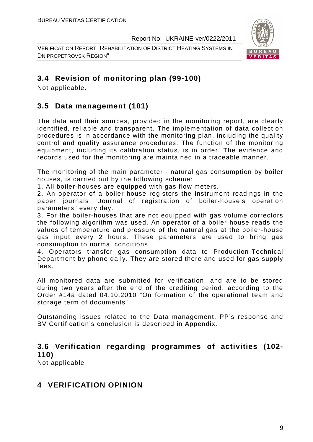VERIFICATION REPORT "REHABILITATION OF DISTRICT HEATING SYSTEMS IN DNIPROPETROVSK REGION"



#### **3.4 Revision of monitoring plan (99-100)**

Not applicable.

#### **3.5 Data management (101)**

The data and their sources, provided in the monitoring report, are clearly identified, reliable and transparent. The implementation of data collection procedures is in accordance with the monitoring plan, including the quality control and quality assurance procedures. The function of the monitoring equipment, including its calibration status, is in order. The evidence and records used for the monitoring are maintained in a traceable manner.

The monitoring of the main parameter - natural gas consumption by boiler houses, is carried out by the following scheme:

1. All boiler-houses are equipped with gas flow meters.

2. An operator of a boiler-house registers the instrument readings in the paper journals "Journal of registration of boiler-house's operation parameters" every day.

3. For the boiler-houses that are not equipped with gas volume correctors the following algorithm was used. An operator of a boiler house reads the values of temperature and pressure of the natural gas at the boiler-house gas input every 2 hours. These parameters are used to bring gas consumption to normal conditions.

4. Operators transfer gas consumption data to Production-Technical Department by phone daily. They are stored there and used for gas supply fees.

All monitored data are submitted for verification, and are to be stored during two years after the end of the crediting period, according to the Order #14a dated 04.10.2010 "On formation of the operational team and storage term of documents"

Outstanding issues related to the Data management, PP's response and BV Certification's conclusion is described in Appendix.

#### **3.6 Verification regarding programmes of activities (102- 110)**

Not applicable

#### **4 VERIFICATION OPINION**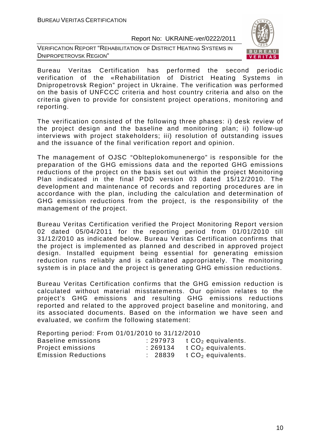VERIFICATION REPORT "REHABILITATION OF DISTRICT HEATING SYSTEMS IN DNIPROPETROVSK REGION"



Bureau Veritas Certification has performed the second periodic verification of the «Rehabilitation of District Heating Systems in Dnipropetrovsk Region" project in Ukraine. The verification was performed on the basis of UNFCCC criteria and host country criteria and also on the criteria given to provide for consistent project operations, monitoring and reporting.

The verification consisted of the following three phases: i) desk review of the project design and the baseline and monitoring plan; ii) follow-up interviews with project stakeholders; iii) resolution of outstanding issues and the issuance of the final verification report and opinion.

The management of OJSC "Oblteplokomunenergo" is responsible for the preparation of the GHG emissions data and the reported GHG emissions reductions of the project on the basis set out within the project Monitoring Plan indicated in the final PDD version 03 dated 15/12/2010. The development and maintenance of records and reporting procedures are in accordance with the plan, including the calculation and determination of GHG emission reductions from the project, is the responsibility of the management of the project.

Bureau Veritas Certification verified the Project Monitoring Report version 02 dated 05/04/2011 for the reporting period from 01/01/2010 till 31/12/2010 as indicated below. Bureau Veritas Certification confirms that the project is implemented as planned and described in approved project design. Installed equipment being essential for generating emission reduction runs reliably and is calibrated appropriately. The monitoring system is in place and the project is generating GHG emission reductions.

Bureau Veritas Certification confirms that the GHG emission reduction is calculated without material misstatements. Our opinion relates to the project's GHG emissions and resulting GHG emissions reductions reported and related to the approved project baseline and monitoring, and its associated documents. Based on the information we have seen and evaluated, we confirm the following statement:

Reporting period: From 01/01/2010 to 31/12/2010

| Baseline emissions         | : 297973 | t $CO2$ equivalents. |
|----------------------------|----------|----------------------|
| Project emissions          | :269134  | t $CO2$ equivalents. |
| <b>Emission Reductions</b> | : 28839  | t $CO2$ equivalents. |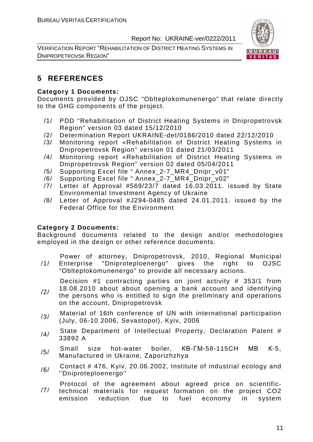VERIFICATION REPORT "REHABILITATION OF DISTRICT HEATING SYSTEMS IN DNIPROPETROVSK REGION"



#### **5 REFERENCES**

#### **Category 1 Documents:**

Documents provided by OJSC "Oblteplokomunenergo" that relate directly to the GHG components of the project.

- /1/ PDD "Rehabilitation of District Heating Systems in Dnipropetrovsk Region" version 03 dated 15/12/2010
- /2/ Determination Report UKRAINE-det/0186/2010 dated 22/12/2010
- /3/ Monitoring report «Rehabilitation of District Heating Systems in Dnipropetrovsk Region" version 01 dated 21/03/2011
- /4/ Monitoring report «Rehabilitation of District Heating Systems in Dnipropetrovsk Region" version 02 dated 05/04/2011
- /5/ Supporting Excel file " Annex\_2-7\_MR4\_Dnipr\_v01"
- /6/ Supporting Excel file " Annex\_2-7\_MR4\_Dnipr\_v02"
- /7/ Letter of Approval #569/23/7 dated 16.03.2011. issued by State Environmental Investment Agency of Ukraine
- /8/ Letter of Approval #J294-0485 dated 24.01.2011. issued by the Federal Office for the Environment

#### **Category 2 Documents:**

Background documents related to the design and/or methodologies employed in the design or other reference documents.

/1/ Power of attorney, Dnipropetrovsk, 2010, Regional Municipal Enterprise "Dniproteploenergo" gives the right to OJSC "Oblteplokomunenergo" to provide all necessary actions.

Decision #1 contracting parties on joint activity # 353/1 from

- /2/ 18.08.2010 about about opening a bank account and identifying the persons who is entitled to sign the preliminary and operations on the account, Dnipropetrovsk
- /3/ Material of 16th conference of UN with international participation (July, 06-10 2006, Sevastopol), Kyiv, 2006
- /4/ State Department of Intellectual Property, Declaration Patent # 33892 A
- /5/ Small size hot-water boiler, КВ-ГМ-58-115СН МВ <sup>К</sup>-5, Manufactured in Ukraine, Zaporizhzhya
- /6/ Contact # 476, Kyiv, 20.06.2002, Institute of industrial ecology and ''Dniproteploenergo''

/7/ Protocol of the agreement about agreed price on scientifictechnical materials for request formation on the project CO2 emission reduction due to fuel economy in system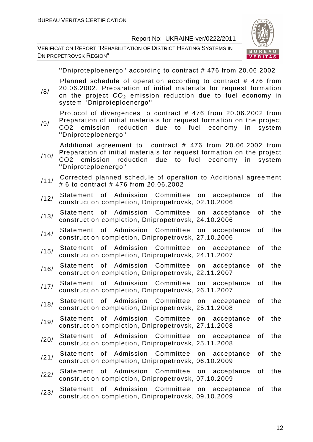VERIFICATION REPORT "REHABILITATION OF DISTRICT HEATING SYSTEMS IN DNIPROPETROVSK REGION"



''Dniproteploenergo'' according to contract # 476 from 20.06.2002

Planned schedule of operation according to contract # 476 from 20.06.2002. Preparation of initial materials for request formation

/8/ on the project  $CO<sub>2</sub>$  emission reduction due to fuel economy in system ''Dniproteploenergo''

Protocol of divergences to contract # 476 from 20.06.2002 from Preparation of initial materials for request formation on the project

/9/ CO2 emission reduction due to fuel economy in system ''Dniproteploenergo''

Additional agreement to contract # 476 from 20.06.2002 from Preparation of initial materials for request formation on the project

- /10/ CO2 emission reduction due to fuel economy in system ''Dniproteploenergo''
- /11/ Corrected planned schedule of operation to Additional agreement # 6 to contract # 476 from 20.06.2002
- /12/ Statement of Admission Committee on acceptance of the construction completion, Dnipropetrovsk, 02.10.2006
- /13/ Statement of Admission Committee on acceptance of the construction completion, Dnipropetrovsk, 24.10.2006
- /14/ Statement of Admission Committee on acceptance of the construction completion, Dnipropetrovsk, 27.10.2006
- /15/ Statement of Admission Committee on acceptance of the construction completion, Dnipropetrovsk, 24.11.2007
- /16/ Statement of Admission Committee on acceptance of the construction completion, Dnipropetrovsk, 22.11.2007
- /17/ Statement of Admission Committee on acceptance of the construction completion, Dnipropetrovsk, 26.11.2007
- /18/ Statement of Admission Committee on acceptance of the construction completion, Dnipropetrovsk, 25.11.2008
- /19/ Statement of Admission Committee on acceptance of the construction completion, Dnipropetrovsk, 27.11.2008
- /20/ Statement of Admission Committee on acceptance of the construction completion, Dnipropetrovsk, 25.11.2008
- /21/ Statement of Admission Committee on acceptance of the construction completion, Dnipropetrovsk, 06.10.2009
- /22/ Statement of Admission Committee on acceptance of the construction completion, Dnipropetrovsk, 07.10.2009
- /23/ Statement of Admission Committee on acceptance of the construction completion, Dnipropetrovsk, 09.10.2009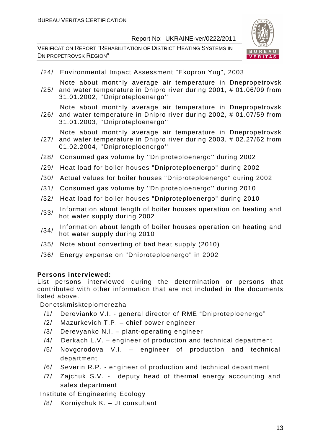VERIFICATION REPORT "REHABILITATION OF DISTRICT HEATING SYSTEMS IN DNIPROPETROVSK REGION"



/24/ Environmental Impact Assessment "Ekopron Yug", 2003

Note about monthly average air temperature in Dnepropetrovsk

- /25/ and water temperature in Dnipro river during 2001, # 01.06/09 from 31.01.2002, ''Dniproteploenergo''
- /26/ and water temperature in Dnipro river during 2002, # 01.07/59 from Note about monthly average air temperature in Dnepropetrovsk 31.01.2003, ''Dniproteploenergo''

Note about monthly average air temperature in Dnepropetrovsk

- /27/ and water temperature in Dnipro river during 2003, # 02.27/62 from 01.02.2004, ''Dniproteploenergo''
- /28/ Consumed gas volume by ''Dniproteploenergo'' during 2002
- /29/ Heat load for boiler houses "Dniproteploenergo" during 2002
- /30/ Actual values for boiler houses "Dniproteploenergo" during 2002
- /31/ Consumed gas volume by ''Dniproteploenergo'' during 2010
- /32/ Heat load for boiler houses "Dniproteploenergo" during 2010
- /33/ Information about length of boiler houses operation on heating and hot water supply during 2002
- /34/ Information about length of boiler houses operation on heating and hot water supply during 2010
- /35/ Note about converting of bad heat supply (2010)
- /36/ Energy expense on "Dniproteploenergo" in 2002

#### **Persons interviewed:**

List persons interviewed during the determination or persons that contributed with other information that are not included in the documents listed above.

Donetskmiskteplomerezha

- /1/ Derevianko V.I. general director of RME "Dniproteploenergo"
- /2/ Mazurkevich T.P. chief power engineer
- /3/ Derevyanko N.I. plant-operating engineer
- /4/ Derkach L.V. engineer of production and technical department
- /5/ Novgorodova V.I. engineer of production and technical department
- /6/ Severin R.P. engineer of production and technical department
- /7/ Zajchuk S.V. deputy head of thermal energy accounting and sales department

Institute of Engineering Ecology

/8/ Korniychuk K. – JI consultant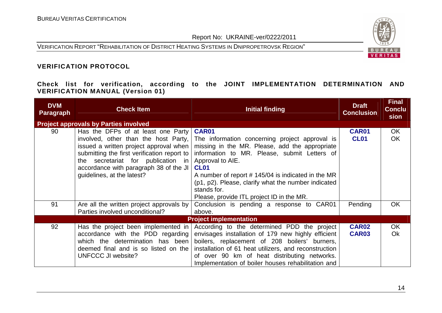VERIFICATION REPORT "REHABILITATION OF DISTRICT HEATING SYSTEMS IN DNIPROPETROVSK REGION"



#### **VERIFICATION PROTOCOL**

**Check list for verification, according to the JOINT IMPLEMENTATION DETERMINATION AND VERIFICATION MANUAL (Version 01)** 

| <b>DVM</b><br><b>Paragraph</b> | <b>Check Item</b>                            | <b>Initial finding</b>                                | <b>Draft</b><br><b>Conclusion</b> | <b>Final</b><br><b>Conclu</b><br>sion |
|--------------------------------|----------------------------------------------|-------------------------------------------------------|-----------------------------------|---------------------------------------|
|                                | <b>Project approvals by Parties involved</b> |                                                       |                                   |                                       |
| 90                             | Has the DFPs of at least one Party           | <b>CAR01</b>                                          | <b>CAR01</b>                      | <b>OK</b>                             |
|                                | involved, other than the host Party,         | The information concerning project approval is        | <b>CL01</b>                       | OK                                    |
|                                | issued a written project approval when       | missing in the MR. Please, add the appropriate        |                                   |                                       |
|                                | submitting the first verification report to  | information to MR. Please, submit Letters of          |                                   |                                       |
|                                | the secretariat for publication in           | Approval to AIE.                                      |                                   |                                       |
|                                | accordance with paragraph 38 of the JI       | <b>CL01</b>                                           |                                   |                                       |
|                                | guidelines, at the latest?                   | A number of report #145/04 is indicated in the MR     |                                   |                                       |
|                                |                                              | (p1, p2). Please, clarify what the number indicated   |                                   |                                       |
|                                |                                              | stands for.                                           |                                   |                                       |
|                                |                                              | Please, provide ITL project ID in the MR.             |                                   |                                       |
| 91                             | Are all the written project approvals by     | Conclusion is pending a response to CAR01             | Pending                           | <b>OK</b>                             |
|                                | Parties involved unconditional?              | above.                                                |                                   |                                       |
|                                |                                              | <b>Project implementation</b>                         |                                   |                                       |
| 92                             | Has the project been implemented in          | According to the determined PDD the project           | <b>CAR02</b>                      | OK                                    |
|                                | accordance with the PDD regarding            | envisages installation of 179 new highly efficient    | <b>CAR03</b>                      | <b>Ok</b>                             |
|                                | which the determination has been             | boilers, replacement of 208 boilers' burners,         |                                   |                                       |
|                                | deemed final and is so listed on the         | installation of 61 heat utilizers, and reconstruction |                                   |                                       |
|                                | UNFCCC JI website?                           | of over 90 km of heat distributing networks.          |                                   |                                       |
|                                |                                              | Implementation of boiler houses rehabilitation and    |                                   |                                       |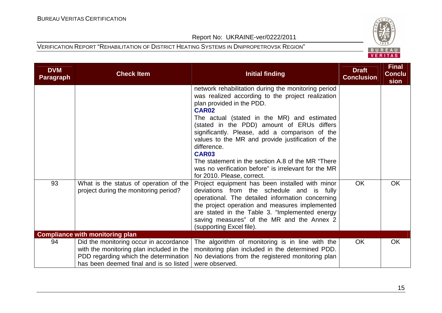

| <b>DVM</b><br><b>Paragraph</b> | <b>Check Item</b>                                                                                                                                                     | <b>Initial finding</b>                                                                                                                                                                                                                                                                                                                                                                                                                                                                                                                    | <b>Draft</b><br><b>Conclusion</b> | <b>Final</b><br><b>Conclu</b><br>sion |
|--------------------------------|-----------------------------------------------------------------------------------------------------------------------------------------------------------------------|-------------------------------------------------------------------------------------------------------------------------------------------------------------------------------------------------------------------------------------------------------------------------------------------------------------------------------------------------------------------------------------------------------------------------------------------------------------------------------------------------------------------------------------------|-----------------------------------|---------------------------------------|
|                                |                                                                                                                                                                       | network rehabilitation during the monitoring period<br>was realized according to the project realization<br>plan provided in the PDD.<br>CAR <sub>02</sub><br>The actual (stated in the MR) and estimated<br>(stated in the PDD) amount of ERUs differs<br>significantly. Please, add a comparison of the<br>values to the MR and provide justification of the<br>difference.<br><b>CAR03</b><br>The statement in the section A.8 of the MR "There"<br>was no verification before" is irrelevant for the MR<br>for 2010. Please, correct. |                                   |                                       |
| 93                             | What is the status of operation of the<br>project during the monitoring period?                                                                                       | Project equipment has been installed with minor<br>deviations from the schedule and is fully<br>operational. The detailed information concerning<br>the project operation and measures implemented<br>are stated in the Table 3. "Implemented energy<br>saving measures" of the MR and the Annex 2<br>(supporting Excel file).                                                                                                                                                                                                            | <b>OK</b>                         | <b>OK</b>                             |
|                                | <b>Compliance with monitoring plan</b>                                                                                                                                |                                                                                                                                                                                                                                                                                                                                                                                                                                                                                                                                           |                                   |                                       |
| 94                             | Did the monitoring occur in accordance<br>with the monitoring plan included in the<br>PDD regarding which the determination<br>has been deemed final and is so listed | The algorithm of monitoring is in line with the<br>monitoring plan included in the determined PDD.<br>No deviations from the registered monitoring plan<br>were observed.                                                                                                                                                                                                                                                                                                                                                                 | OK                                | OK                                    |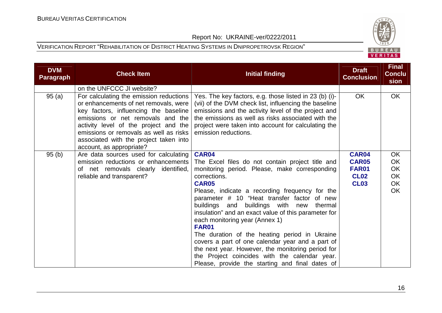

| <b>DVM</b><br><b>Paragraph</b> | <b>Check Item</b>                                                                                                                                                                                                                                                                                                       | <b>Initial finding</b>                                                                                                                                                                                                                                                                                                                                                                                                                                                                                                                                                                                                                                    | <b>Draft</b><br><b>Conclusion</b>                          | <b>Final</b><br><b>Conclu</b><br>sion |
|--------------------------------|-------------------------------------------------------------------------------------------------------------------------------------------------------------------------------------------------------------------------------------------------------------------------------------------------------------------------|-----------------------------------------------------------------------------------------------------------------------------------------------------------------------------------------------------------------------------------------------------------------------------------------------------------------------------------------------------------------------------------------------------------------------------------------------------------------------------------------------------------------------------------------------------------------------------------------------------------------------------------------------------------|------------------------------------------------------------|---------------------------------------|
|                                | on the UNFCCC JI website?                                                                                                                                                                                                                                                                                               |                                                                                                                                                                                                                                                                                                                                                                                                                                                                                                                                                                                                                                                           |                                                            |                                       |
| 95(a)                          | For calculating the emission reductions<br>or enhancements of net removals, were<br>key factors, influencing the baseline<br>emissions or net removals and the<br>activity level of the project and the<br>emissions or removals as well as risks<br>associated with the project taken into<br>account, as appropriate? | Yes. The key factors, e.g. those listed in 23 (b) (i)-<br>(vii) of the DVM check list, influencing the baseline<br>emissions and the activity level of the project and<br>the emissions as well as risks associated with the<br>project were taken into account for calculating the<br>emission reductions.                                                                                                                                                                                                                                                                                                                                               | OK                                                         | OK                                    |
| 95(b)                          | Are data sources used for calculating                                                                                                                                                                                                                                                                                   | CAR04                                                                                                                                                                                                                                                                                                                                                                                                                                                                                                                                                                                                                                                     | CAR04                                                      | OK                                    |
|                                | emission reductions or enhancements<br>of net removals clearly identified,<br>reliable and transparent?                                                                                                                                                                                                                 | The Excel files do not contain project title and<br>monitoring period. Please, make corresponding<br>corrections.<br><b>CAR05</b><br>Please, indicate a recording frequency for the<br>parameter # 10 "Heat transfer factor of new<br>buildings and buildings with new<br>thermal<br>insulation" and an exact value of this parameter for<br>each monitoring year (Annex 1)<br><b>FAR01</b><br>The duration of the heating period in Ukraine<br>covers a part of one calendar year and a part of<br>the next year. However, the monitoring period for<br>the Project coincides with the calendar year.<br>Please, provide the starting and final dates of | <b>CAR05</b><br><b>FAR01</b><br><b>CL02</b><br><b>CL03</b> | OK<br>OK<br>OK.<br>OK<br>OK.          |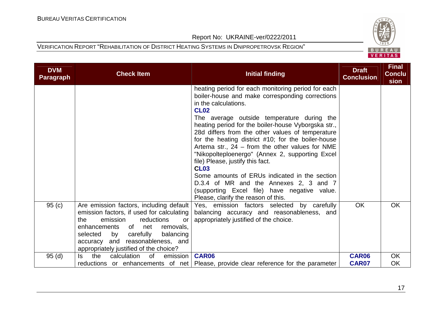

| <b>DVM</b><br><b>Paragraph</b> | <b>Check Item</b>                                                                                                                                                                                                                                                                                         | <b>Initial finding</b>                                                                                                                                                                                                                                                                                                                                                                                                                                                                                                                                                                                                                                                                                   | <b>Draft</b><br><b>Conclusion</b> | <b>Final</b><br><b>Conclu</b><br>sion |
|--------------------------------|-----------------------------------------------------------------------------------------------------------------------------------------------------------------------------------------------------------------------------------------------------------------------------------------------------------|----------------------------------------------------------------------------------------------------------------------------------------------------------------------------------------------------------------------------------------------------------------------------------------------------------------------------------------------------------------------------------------------------------------------------------------------------------------------------------------------------------------------------------------------------------------------------------------------------------------------------------------------------------------------------------------------------------|-----------------------------------|---------------------------------------|
|                                |                                                                                                                                                                                                                                                                                                           | heating period for each monitoring period for each<br>boiler-house and make corresponding corrections<br>in the calculations.<br><b>CL02</b><br>The average outside temperature during the<br>heating period for the boiler-house Vyborgska str.,<br>28d differs from the other values of temperature<br>for the heating district #10; for the boiler-house<br>Artema str., $24$ – from the other values for NME<br>"Nikopolteploenergo" (Annex 2, supporting Excel<br>file) Please, justify this fact.<br><b>CL03</b><br>Some amounts of ERUs indicated in the section<br>D.3.4 of MR and the Annexes 2, 3 and 7<br>(supporting Excel file) have negative value.<br>Please, clarify the reason of this. |                                   |                                       |
| 95(c)                          | Are emission factors, including default<br>emission factors, if used for calculating<br>reductions<br>the<br>emission<br><b>or</b><br>enhancements<br>of<br>net<br>removals.<br>carefully<br>balancing<br>selected<br>by<br>and reasonableness, and<br>accuracy<br>appropriately justified of the choice? | Yes, emission factors selected by carefully<br>balancing accuracy and reasonableness, and<br>appropriately justified of the choice.                                                                                                                                                                                                                                                                                                                                                                                                                                                                                                                                                                      | <b>OK</b>                         | <b>OK</b>                             |
| 95(d)                          | the<br>calculation<br>of<br>ls.<br>emission                                                                                                                                                                                                                                                               | CAR06<br>reductions or enhancements of net   Please, provide clear reference for the parameter                                                                                                                                                                                                                                                                                                                                                                                                                                                                                                                                                                                                           | <b>CAR06</b><br><b>CAR07</b>      | OK<br>OK                              |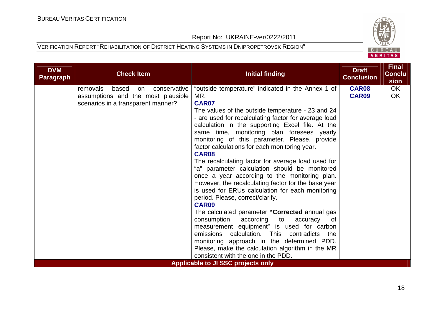

| <b>DVM</b><br><b>Paragraph</b> | <b>Check Item</b>                                                                                                   | <b>Initial finding</b>                                                                                                                                                                                                                                                                                                                                                                                                                                                                                                                                                                                                                                                                                                                                                                                                                                                                                                   | <b>Draft</b><br><b>Conclusion</b> | <b>Final</b><br><b>Conclu</b><br>sion |
|--------------------------------|---------------------------------------------------------------------------------------------------------------------|--------------------------------------------------------------------------------------------------------------------------------------------------------------------------------------------------------------------------------------------------------------------------------------------------------------------------------------------------------------------------------------------------------------------------------------------------------------------------------------------------------------------------------------------------------------------------------------------------------------------------------------------------------------------------------------------------------------------------------------------------------------------------------------------------------------------------------------------------------------------------------------------------------------------------|-----------------------------------|---------------------------------------|
|                                | removals<br>based<br>conservative<br>on<br>assumptions and the most plausible<br>scenarios in a transparent manner? | "outside temperature" indicated in the Annex 1 of<br>MR.<br><b>CAR07</b><br>The values of the outside temperature - 23 and 24<br>- are used for recalculating factor for average load<br>calculation in the supporting Excel file. At the<br>same time, monitoring plan foresees yearly<br>monitoring of this parameter. Please, provide<br>factor calculations for each monitoring year.<br>CAR08<br>The recalculating factor for average load used for<br>"a" parameter calculation should be monitored<br>once a year according to the monitoring plan.<br>However, the recalculating factor for the base year<br>is used for ERUs calculation for each monitoring<br>period. Please, correct/clarify.<br><b>CAR09</b><br>The calculated parameter "Corrected annual gas<br>consumption according<br>to<br>accuracy<br>0f<br>measurement equipment" is used for carbon<br>emissions calculation. This contradicts the | <b>CAR08</b><br>CAR09             | OK<br>OK                              |
|                                |                                                                                                                     | monitoring approach in the determined PDD.<br>Please, make the calculation algorithm in the MR<br>consistent with the one in the PDD.                                                                                                                                                                                                                                                                                                                                                                                                                                                                                                                                                                                                                                                                                                                                                                                    |                                   |                                       |
|                                |                                                                                                                     | <b>Applicable to JI SSC projects only</b>                                                                                                                                                                                                                                                                                                                                                                                                                                                                                                                                                                                                                                                                                                                                                                                                                                                                                |                                   |                                       |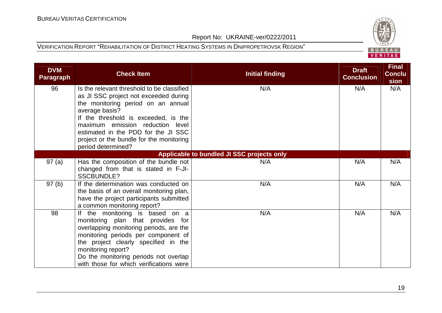

| <b>DVM</b><br><b>Paragraph</b> | <b>Check Item</b>                                                                                                                                                                                                                                                                                                                | <b>Initial finding</b>                     | <b>Draft</b><br><b>Conclusion</b> | <b>Final</b><br><b>Conclu</b><br>sion |
|--------------------------------|----------------------------------------------------------------------------------------------------------------------------------------------------------------------------------------------------------------------------------------------------------------------------------------------------------------------------------|--------------------------------------------|-----------------------------------|---------------------------------------|
| 96                             | Is the relevant threshold to be classified<br>as JI SSC project not exceeded during<br>the monitoring period on an annual<br>average basis?<br>If the threshold is exceeded, is the<br>maximum emission reduction level<br>estimated in the PDD for the JI SSC<br>project or the bundle for the monitoring<br>period determined? | N/A                                        | N/A                               | N/A                                   |
|                                |                                                                                                                                                                                                                                                                                                                                  | Applicable to bundled JI SSC projects only |                                   |                                       |
| 97(a)                          | Has the composition of the bundle not<br>changed from that is stated in F-JI-<br>SSCBUNDLE?                                                                                                                                                                                                                                      | N/A                                        | N/A                               | N/A                                   |
| 97(b)                          | If the determination was conducted on<br>the basis of an overall monitoring plan,<br>have the project participants submitted<br>a common monitoring report?                                                                                                                                                                      | N/A                                        | N/A                               | N/A                                   |
| 98                             | If the monitoring is based on a<br>monitoring plan that provides for<br>overlapping monitoring periods, are the<br>monitoring periods per component of<br>the project clearly specified in the<br>monitoring report?<br>Do the monitoring periods not overlap<br>with those for which verifications were                         | N/A                                        | N/A                               | N/A                                   |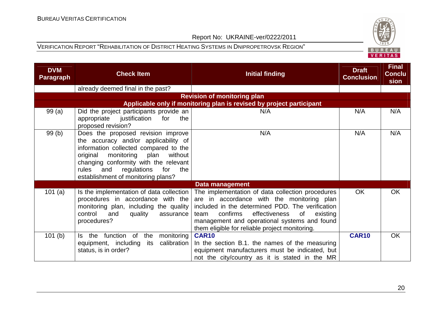

| <b>DVM</b><br>Paragraph | <b>Check Item</b>                                                                                                                                                                                                                                                                            | <b>Initial finding</b>                                                                                                                                                                                                                                                                                      | <b>Draft</b><br><b>Conclusion</b> | <b>Final</b><br><b>Conclu</b><br>sion |
|-------------------------|----------------------------------------------------------------------------------------------------------------------------------------------------------------------------------------------------------------------------------------------------------------------------------------------|-------------------------------------------------------------------------------------------------------------------------------------------------------------------------------------------------------------------------------------------------------------------------------------------------------------|-----------------------------------|---------------------------------------|
|                         | already deemed final in the past?                                                                                                                                                                                                                                                            |                                                                                                                                                                                                                                                                                                             |                                   |                                       |
|                         |                                                                                                                                                                                                                                                                                              | <b>Revision of monitoring plan</b>                                                                                                                                                                                                                                                                          |                                   |                                       |
|                         |                                                                                                                                                                                                                                                                                              | Applicable only if monitoring plan is revised by project participant                                                                                                                                                                                                                                        |                                   |                                       |
| 99(a)                   | Did the project participants provide an<br>appropriate justification<br>for<br>the<br>proposed revision?                                                                                                                                                                                     | N/A                                                                                                                                                                                                                                                                                                         | N/A                               | N/A                                   |
| 99(b)                   | Does the proposed revision improve<br>the accuracy and/or applicability of<br>information collected compared to the<br>original<br>monitoring<br>plan<br>without<br>changing conformity with the relevant<br>rules<br>regulations<br>for<br>the<br>and<br>establishment of monitoring plans? | N/A                                                                                                                                                                                                                                                                                                         | N/A                               | N/A                                   |
|                         |                                                                                                                                                                                                                                                                                              | Data management                                                                                                                                                                                                                                                                                             |                                   |                                       |
| 101 $(a)$               | Is the implementation of data collection<br>procedures in accordance with the<br>monitoring plan, including the quality<br>control<br>and<br>quality<br>assurance<br>procedures?                                                                                                             | The implementation of data collection procedures<br>are in accordance with the monitoring plan<br>included in the determined PDD. The verification<br>confirms<br>effectiveness<br>of<br>existing<br>team<br>management and operational systems and found<br>them eligible for reliable project monitoring. | <b>OK</b>                         | <b>OK</b>                             |
| 101(b)                  | the function of<br>monitoring<br>the<br>ls l<br>equipment, including<br>calibration<br>its<br>status, is in order?                                                                                                                                                                           | <b>CAR10</b><br>In the section B.1. the names of the measuring<br>equipment manufacturers must be indicated, but<br>not the city/country as it is stated in the MR                                                                                                                                          | <b>CAR10</b>                      | <b>OK</b>                             |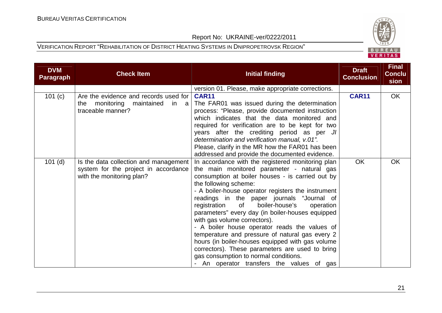

| <b>DVM</b><br><b>Paragraph</b> | <b>Check Item</b>                      | Initial finding                                                                                 | <b>Draft</b><br><b>Conclusion</b> | <b>Final</b><br><b>Conclu</b><br>sion |
|--------------------------------|----------------------------------------|-------------------------------------------------------------------------------------------------|-----------------------------------|---------------------------------------|
|                                |                                        | version 01. Please, make appropriate corrections.                                               |                                   |                                       |
| 101 (c)                        | Are the evidence and records used for  | <b>CAR11</b>                                                                                    | <b>CAR11</b>                      | OK                                    |
|                                | the monitoring<br>maintained<br>$in$ a | The FAR01 was issued during the determination                                                   |                                   |                                       |
|                                | traceable manner?                      | process: "Please, provide documented instruction                                                |                                   |                                       |
|                                |                                        | which indicates that the data monitored and                                                     |                                   |                                       |
|                                |                                        | required for verification are to be kept for two                                                |                                   |                                       |
|                                |                                        | years after the crediting period as per JI                                                      |                                   |                                       |
|                                |                                        | determination and verification manual, v.01".                                                   |                                   |                                       |
|                                |                                        | Please, clarify in the MR how the FAR01 has been                                                |                                   |                                       |
|                                |                                        | addressed and provide the documented evidence.                                                  |                                   |                                       |
| $101$ (d)                      | Is the data collection and management  | In accordance with the registered monitoring plan                                               | <b>OK</b>                         | <b>OK</b>                             |
|                                | system for the project in accordance   | the main monitored parameter - natural gas                                                      |                                   |                                       |
|                                | with the monitoring plan?              | consumption at boiler houses - is carried out by                                                |                                   |                                       |
|                                |                                        | the following scheme:                                                                           |                                   |                                       |
|                                |                                        | - A boiler-house operator registers the instrument                                              |                                   |                                       |
|                                |                                        | readings in the paper journals "Journal of<br>boiler-house's<br>registration<br>of<br>operation |                                   |                                       |
|                                |                                        | parameters" every day (in boiler-houses equipped                                                |                                   |                                       |
|                                |                                        | with gas volume correctors).                                                                    |                                   |                                       |
|                                |                                        | - A boiler house operator reads the values of                                                   |                                   |                                       |
|                                |                                        | temperature and pressure of natural gas every 2                                                 |                                   |                                       |
|                                |                                        | hours (in boiler-houses equipped with gas volume                                                |                                   |                                       |
|                                |                                        | correctors). These parameters are used to bring                                                 |                                   |                                       |
|                                |                                        | gas consumption to normal conditions.                                                           |                                   |                                       |
|                                |                                        | - An operator transfers the values of gas                                                       |                                   |                                       |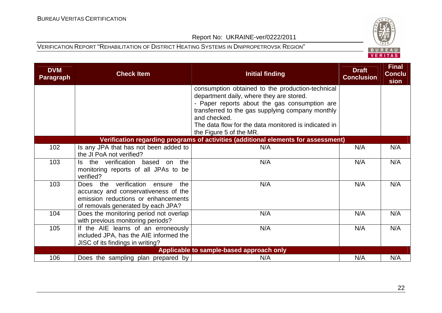

| <b>DVM</b><br><b>Paragraph</b> | <b>Check Item</b>                                                         | <b>Initial finding</b>                                                                       | <b>Draft</b><br><b>Conclusion</b> | <b>Final</b><br><b>Conclu</b><br>sion |
|--------------------------------|---------------------------------------------------------------------------|----------------------------------------------------------------------------------------------|-----------------------------------|---------------------------------------|
|                                |                                                                           | consumption obtained to the production-technical<br>department daily, where they are stored. |                                   |                                       |
|                                |                                                                           | - Paper reports about the gas consumption are                                                |                                   |                                       |
|                                |                                                                           | transferred to the gas supplying company monthly                                             |                                   |                                       |
|                                |                                                                           | and checked.                                                                                 |                                   |                                       |
|                                |                                                                           | The data flow for the data monitored is indicated in<br>the Figure 5 of the MR.              |                                   |                                       |
|                                |                                                                           | Verification regarding programs of activities (additional elements for assessment)           |                                   |                                       |
| 102                            | Is any JPA that has not been added to                                     | N/A                                                                                          | N/A                               | N/A                                   |
|                                | the JI PoA not verified?                                                  |                                                                                              |                                   |                                       |
| 103                            | the<br>Is the verification based on                                       | N/A                                                                                          | N/A                               | N/A                                   |
|                                | monitoring reports of all JPAs to be<br>verified?                         |                                                                                              |                                   |                                       |
| 103                            | Does the verification ensure<br>the                                       | N/A                                                                                          | N/A                               | N/A                                   |
|                                | accuracy and conservativeness of the                                      |                                                                                              |                                   |                                       |
|                                | emission reductions or enhancements<br>of removals generated by each JPA? |                                                                                              |                                   |                                       |
| 104                            | Does the monitoring period not overlap                                    | N/A                                                                                          | N/A                               | N/A                                   |
|                                | with previous monitoring periods?                                         |                                                                                              |                                   |                                       |
| 105                            | If the AIE learns of an erroneously                                       | N/A                                                                                          | N/A                               | N/A                                   |
|                                | included JPA, has the AIE informed the                                    |                                                                                              |                                   |                                       |
|                                | JISC of its findings in writing?                                          |                                                                                              |                                   |                                       |
|                                |                                                                           | Applicable to sample-based approach only                                                     |                                   |                                       |
| 106                            | Does the sampling plan prepared by                                        | N/A                                                                                          | N/A                               | N/A                                   |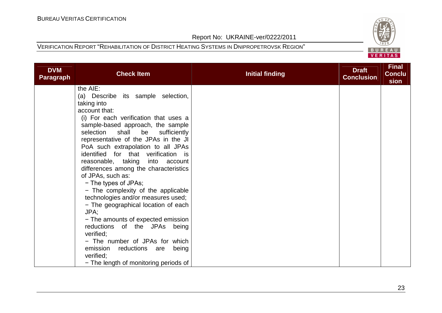

| <b>DVM</b><br><b>Paragraph</b> | <b>Check Item</b>                                | <b>Initial finding</b> | <b>Draft</b><br><b>Conclusion</b> | <b>Final</b><br><b>Conclu</b><br>sion |
|--------------------------------|--------------------------------------------------|------------------------|-----------------------------------|---------------------------------------|
|                                | the AIE:                                         |                        |                                   |                                       |
|                                | (a) Describe its sample selection,               |                        |                                   |                                       |
|                                | taking into                                      |                        |                                   |                                       |
|                                | account that:                                    |                        |                                   |                                       |
|                                | (i) For each verification that uses a            |                        |                                   |                                       |
|                                | sample-based approach, the sample                |                        |                                   |                                       |
|                                | selection<br>shall<br>be<br>sufficiently         |                        |                                   |                                       |
|                                | representative of the JPAs in the JI             |                        |                                   |                                       |
|                                | PoA such extrapolation to all JPAs               |                        |                                   |                                       |
|                                | identified for that verification is              |                        |                                   |                                       |
|                                | reasonable, taking<br>into<br>account            |                        |                                   |                                       |
|                                | differences among the characteristics            |                        |                                   |                                       |
|                                | of JPAs, such as:                                |                        |                                   |                                       |
|                                | - The types of JPAs;                             |                        |                                   |                                       |
|                                | - The complexity of the applicable               |                        |                                   |                                       |
|                                | technologies and/or measures used;               |                        |                                   |                                       |
|                                | - The geographical location of each              |                        |                                   |                                       |
|                                | JPA;                                             |                        |                                   |                                       |
|                                | - The amounts of expected emission               |                        |                                   |                                       |
|                                | reductions of the JPAs being                     |                        |                                   |                                       |
|                                | verified;                                        |                        |                                   |                                       |
|                                | - The number of JPAs for which                   |                        |                                   |                                       |
|                                | emission<br>reductions are<br>being<br>verified; |                        |                                   |                                       |
|                                | - The length of monitoring periods of            |                        |                                   |                                       |
|                                |                                                  |                        |                                   |                                       |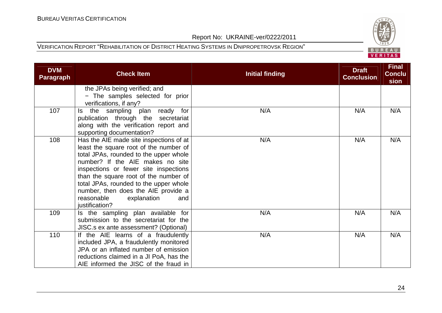

| <b>DVM</b><br><b>Paragraph</b> | <b>Check Item</b>                                                                                                                                                                                                                                                                                                                                                                        | <b>Initial finding</b> | <b>Draft</b><br><b>Conclusion</b> | <b>Final</b><br><b>Conclu</b><br>sion |
|--------------------------------|------------------------------------------------------------------------------------------------------------------------------------------------------------------------------------------------------------------------------------------------------------------------------------------------------------------------------------------------------------------------------------------|------------------------|-----------------------------------|---------------------------------------|
|                                | the JPAs being verified; and<br>- The samples selected for prior<br>verifications, if any?                                                                                                                                                                                                                                                                                               |                        |                                   |                                       |
| 107                            | the sampling plan ready for<br>ls.<br>publication through the secretariat<br>along with the verification report and<br>supporting documentation?                                                                                                                                                                                                                                         | N/A                    | N/A                               | N/A                                   |
| 108                            | Has the AIE made site inspections of at<br>least the square root of the number of<br>total JPAs, rounded to the upper whole<br>number? If the AIE makes no site<br>inspections or fewer site inspections<br>than the square root of the number of<br>total JPAs, rounded to the upper whole<br>number, then does the AIE provide a<br>reasonable<br>explanation<br>and<br>justification? | N/A                    | N/A                               | N/A                                   |
| 109                            | Is the sampling plan available for<br>submission to the secretariat for the<br>JISC.s ex ante assessment? (Optional)                                                                                                                                                                                                                                                                     | N/A                    | N/A                               | N/A                                   |
| 110                            | If the AIE learns of a fraudulently<br>included JPA, a fraudulently monitored<br>JPA or an inflated number of emission<br>reductions claimed in a JI PoA, has the<br>AIE informed the JISC of the fraud in                                                                                                                                                                               | N/A                    | N/A                               | N/A                                   |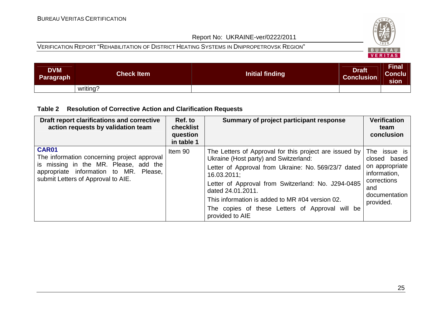#### VERIFICATION REPORT "REHABILITATION OF DISTRICT HEATING SYSTEMS IN DNIPROPETROVSK REGION"



| <b>DVM</b><br>Paragraph | <b>Check Item</b> | <b>Initial finding</b> | <b>Draft</b><br><b>Conclusion</b> | Final<br> Conclu<br>sion |
|-------------------------|-------------------|------------------------|-----------------------------------|--------------------------|
|                         | writing?          |                        |                                   |                          |

#### **Table 2 Resolution of Corrective Action and Clarification Requests**

| Draft report clarifications and corrective<br>action requests by validation team                                                                                                     | Ref. to<br>checklist<br>question<br>in table 1 | Summary of project participant response                                                                                                                                                                                                                                                                                                                                   | <b>Verification</b><br>team<br>conclusion                                                                          |
|--------------------------------------------------------------------------------------------------------------------------------------------------------------------------------------|------------------------------------------------|---------------------------------------------------------------------------------------------------------------------------------------------------------------------------------------------------------------------------------------------------------------------------------------------------------------------------------------------------------------------------|--------------------------------------------------------------------------------------------------------------------|
| <b>CAR01</b><br>The information concerning project approval<br>is missing in the MR. Please, add the<br>appropriate information to MR. Please,<br>submit Letters of Approval to AIE. | Item 90                                        | The Letters of Approval for this project are issued by<br>Ukraine (Host party) and Switzerland:<br>Letter of Approval from Ukraine: No. 569/23/7 dated<br>16.03.2011;<br>Letter of Approval from Switzerland: No. J294-0485<br>dated 24.01.2011.<br>This information is added to MR #04 version 02.<br>The copies of these Letters of Approval will be<br>provided to AIE | The issue is<br>closed based<br>on appropriate<br>information,<br>corrections<br>and<br>documentation<br>provided. |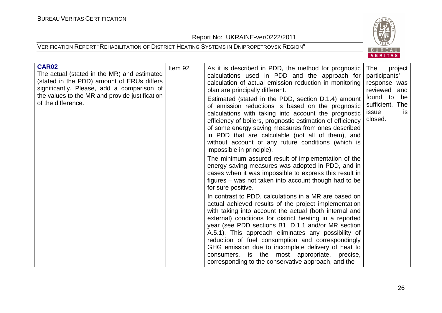Report No: UKRAINE-ver/0222/2011



| CAR02<br>The actual (stated in the MR) and estimated<br>(stated in the PDD) amount of ERUs differs<br>significantly. Please, add a comparison of<br>the values to the MR and provide justification<br>of the difference. | Item 92 | As it is described in PDD, the method for prognostic<br>calculations used in PDD and the approach for<br>calculation of actual emission reduction in monitoring<br>plan are principally different.<br>Estimated (stated in the PDD, section D.1.4) amount<br>of emission reductions is based on the prognostic<br>calculations with taking into account the prognostic<br>efficiency of boilers, prognostic estimation of efficiency<br>of some energy saving measures from ones described<br>in PDD that are calculable (not all of them), and<br>without account of any future conditions (which is<br>impossible in principle). | The<br>project<br>participants'<br>response was<br>reviewed and<br>found to<br>be<br>sufficient. The<br>issue<br><b>is</b><br>closed. |
|--------------------------------------------------------------------------------------------------------------------------------------------------------------------------------------------------------------------------|---------|------------------------------------------------------------------------------------------------------------------------------------------------------------------------------------------------------------------------------------------------------------------------------------------------------------------------------------------------------------------------------------------------------------------------------------------------------------------------------------------------------------------------------------------------------------------------------------------------------------------------------------|---------------------------------------------------------------------------------------------------------------------------------------|
|                                                                                                                                                                                                                          |         | The minimum assured result of implementation of the<br>energy saving measures was adopted in PDD, and in<br>cases when it was impossible to express this result in<br>figures – was not taken into account though had to be<br>for sure positive.                                                                                                                                                                                                                                                                                                                                                                                  |                                                                                                                                       |
|                                                                                                                                                                                                                          |         | In contrast to PDD, calculations in a MR are based on<br>actual achieved results of the project implementation<br>with taking into account the actual (both internal and<br>external) conditions for district heating in a reported<br>year (see PDD sections B1, D.1.1 and/or MR section<br>A.5.1). This approach eliminates any possibility of<br>reduction of fuel consumption and correspondingly<br>GHG emission due to incomplete delivery of heat to<br>consumers, is the most appropriate, precise,<br>corresponding to the conservative approach, and the                                                                 |                                                                                                                                       |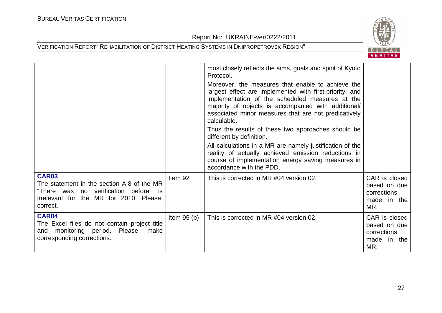

|                                                                                                                                                            |              | most closely reflects the aims, goals and spirit of Kyoto<br>Protocol.                                                                                                                                                                                                                        |                                                                    |
|------------------------------------------------------------------------------------------------------------------------------------------------------------|--------------|-----------------------------------------------------------------------------------------------------------------------------------------------------------------------------------------------------------------------------------------------------------------------------------------------|--------------------------------------------------------------------|
|                                                                                                                                                            |              | Moreover, the measures that enable to achieve the<br>largest effect are implemented with first-priority, and<br>implementation of the scheduled measures at the<br>majority of objects is accompanied with additional/<br>associated minor measures that are not predicatively<br>calculable. |                                                                    |
|                                                                                                                                                            |              | Thus the results of these two approaches should be<br>different by definition.                                                                                                                                                                                                                |                                                                    |
|                                                                                                                                                            |              | All calculations in a MR are namely justification of the<br>reality of actually achieved emission reductions in<br>course of implementation energy saving measures in<br>accordance with the PDD.                                                                                             |                                                                    |
| <b>CAR03</b><br>The statement in the section A.8 of the MR<br>"There was no verification before" is<br>irrelevant for the MR for 2010. Please,<br>correct. | Item 92      | This is corrected in MR #04 version 02.                                                                                                                                                                                                                                                       | CAR is closed<br>based on due<br>corrections<br>made in the<br>MR. |
| CAR04<br>The Excel files do not contain project title<br>monitoring period.<br>Please, make<br>and<br>corresponding corrections.                           | Item $95(b)$ | This is corrected in MR #04 version 02.                                                                                                                                                                                                                                                       | CAR is closed<br>based on due<br>corrections<br>made in the<br>MR. |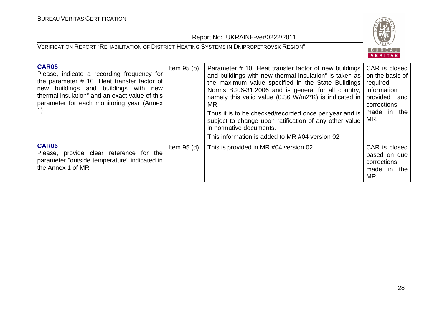

| <b>CAR05</b><br>Please, indicate a recording frequency for<br>the parameter # 10 "Heat transfer factor of<br>new buildings and buildings with new<br>thermal insulation" and an exact value of this<br>parameter for each monitoring year (Annex<br>1) | Item $95(b)$  | Parameter # 10 "Heat transfer factor of new buildings   CAR is closed<br>and buildings with new thermal insulation" is taken as   on the basis of<br>the maximum value specified in the State Buildings required<br>Norms B.2.6-31:2006 and is general for all country,<br>namely this valid value (0.36 W/m2*K) is indicated in<br>MR.<br>Thus it is to be checked/recorded once per year and is<br>subject to change upon ratification of any other value<br>in normative documents.<br>This information is added to MR #04 version 02 | information<br>provided and<br>corrections<br>made in the<br>MR.   |
|--------------------------------------------------------------------------------------------------------------------------------------------------------------------------------------------------------------------------------------------------------|---------------|------------------------------------------------------------------------------------------------------------------------------------------------------------------------------------------------------------------------------------------------------------------------------------------------------------------------------------------------------------------------------------------------------------------------------------------------------------------------------------------------------------------------------------------|--------------------------------------------------------------------|
| <b>CAR06</b><br>Please, provide clear reference for the<br>parameter "outside temperature" indicated in<br>the Annex 1 of MR                                                                                                                           | Item $95$ (d) | This is provided in MR #04 version 02                                                                                                                                                                                                                                                                                                                                                                                                                                                                                                    | CAR is closed<br>based on due<br>corrections<br>made in the<br>MR. |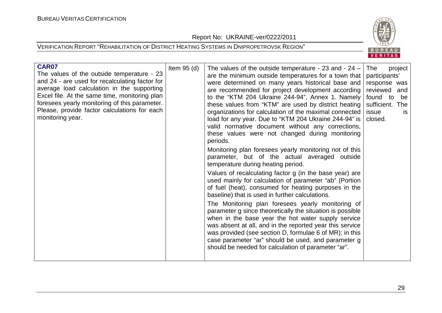Report No: UKRAINE-ver/0222/2011





| <b>CAR07</b><br>The values of the outside temperature - 23<br>and 24 - are used for recalculating factor for<br>average load calculation in the supporting<br>Excel file. At the same time, monitoring plan<br>foresees yearly monitoring of this parameter.<br>Please, provide factor calculations for each<br>monitoring year. | Item $95$ (d) | The values of the outside temperature - 23 and - $24 -$<br>are the minimum outside temperatures for a town that<br>were determined on many years historical base and<br>are recommended for project development according<br>to the "KTM 204 Ukraine 244-94", Annex 1. Namely<br>these values from "KTM" are used by district heating<br>organizations for calculation of the maximal connected<br>load for any year. Due to "KTM 204 Ukraine 244-94" is<br>valid normative document without any corrections,<br>these values were not changed during monitoring<br>periods.<br>Monitoring plan foresees yearly monitoring not of this<br>parameter, but of the actual averaged outside<br>temperature during heating period.<br>Values of recalculating factor g (in the base year) are<br>used mainly for calculation of parameter "ab" (Portion<br>of fuel (heat), consumed for heating purposes in the<br>baseline) that is used in further calculations.<br>The Monitoring plan foresees yearly monitoring of<br>parameter g since theoretically the situation is possible<br>when in the base year the hot water supply service<br>was absent at all, and in the reported year this service<br>was provided (see section D, formulae 6 of MR); in this<br>case parameter "ar" should be used, and parameter g<br>should be needed for calculation of parameter "ar". | project<br>The<br>participants'<br>response was<br>reviewed and<br>found to<br>be<br>sufficient. The<br>issue<br>is.<br>closed. |  |
|----------------------------------------------------------------------------------------------------------------------------------------------------------------------------------------------------------------------------------------------------------------------------------------------------------------------------------|---------------|----------------------------------------------------------------------------------------------------------------------------------------------------------------------------------------------------------------------------------------------------------------------------------------------------------------------------------------------------------------------------------------------------------------------------------------------------------------------------------------------------------------------------------------------------------------------------------------------------------------------------------------------------------------------------------------------------------------------------------------------------------------------------------------------------------------------------------------------------------------------------------------------------------------------------------------------------------------------------------------------------------------------------------------------------------------------------------------------------------------------------------------------------------------------------------------------------------------------------------------------------------------------------------------------------------------------------------------------------------------------------|---------------------------------------------------------------------------------------------------------------------------------|--|
|----------------------------------------------------------------------------------------------------------------------------------------------------------------------------------------------------------------------------------------------------------------------------------------------------------------------------------|---------------|----------------------------------------------------------------------------------------------------------------------------------------------------------------------------------------------------------------------------------------------------------------------------------------------------------------------------------------------------------------------------------------------------------------------------------------------------------------------------------------------------------------------------------------------------------------------------------------------------------------------------------------------------------------------------------------------------------------------------------------------------------------------------------------------------------------------------------------------------------------------------------------------------------------------------------------------------------------------------------------------------------------------------------------------------------------------------------------------------------------------------------------------------------------------------------------------------------------------------------------------------------------------------------------------------------------------------------------------------------------------------|---------------------------------------------------------------------------------------------------------------------------------|--|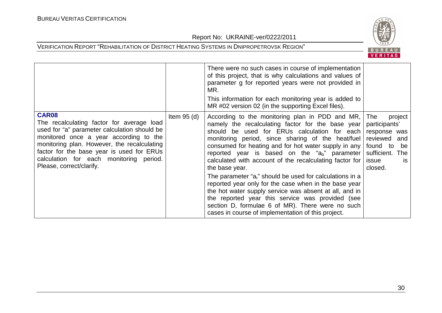

|                                                                                                                                                                                                                                                                                                                        |               | There were no such cases in course of implementation<br>of this project, that is why calculations and values of<br>parameter g for reported years were not provided in<br>MR.<br>This information for each monitoring year is added to<br>MR #02 version 02 (in the supporting Excel files).                                                                                                        |                                                                                                                                       |
|------------------------------------------------------------------------------------------------------------------------------------------------------------------------------------------------------------------------------------------------------------------------------------------------------------------------|---------------|-----------------------------------------------------------------------------------------------------------------------------------------------------------------------------------------------------------------------------------------------------------------------------------------------------------------------------------------------------------------------------------------------------|---------------------------------------------------------------------------------------------------------------------------------------|
| <b>CAR08</b><br>The recalculating factor for average load<br>used for "a" parameter calculation should be<br>monitored once a year according to the<br>monitoring plan. However, the recalculating<br>factor for the base year is used for ERUs<br>calculation for each monitoring period.<br>Please, correct/clarify. | Item $95$ (d) | According to the monitoring plan in PDD and MR,<br>namely the recalculating factor for the base year<br>should be used for ERUs calculation for each<br>monitoring period, since sharing of the heat/fuel<br>consumed for heating and for hot water supply in any<br>reported year is based on the " $a_b$ " parameter<br>calculated with account of the recalculating factor for<br>the base year. | The<br>project<br>participants'<br>response was<br>reviewed and<br>found to<br>be<br>sufficient. The<br>issue<br><b>is</b><br>closed. |
|                                                                                                                                                                                                                                                                                                                        |               | The parameter "a <sub>r</sub> " should be used for calculations in a<br>reported year only for the case when in the base year<br>the hot water supply service was absent at all, and in<br>the reported year this service was provided (see<br>section D, formulae 6 of MR). There were no such<br>cases in course of implementation of this project.                                               |                                                                                                                                       |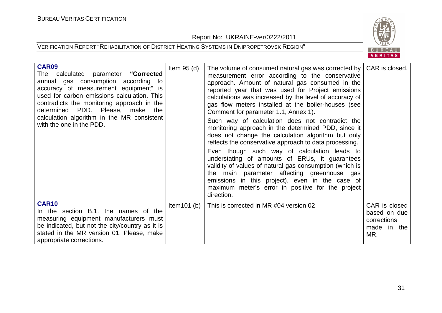Report No: UKRAINE-ver/0222/2011



| <b>CAR09</b><br>calculated parameter "Corrected<br>The<br>annual gas consumption according to<br>accuracy of measurement equipment" is<br>used for carbon emissions calculation. This<br>contradicts the monitoring approach in the<br>determined PDD. Please, make the<br>calculation algorithm in the MR consistent<br>with the one in the PDD. | Item $95$ (d)  | The volume of consumed natural gas was corrected by  <br>measurement error according to the conservative<br>approach. Amount of natural gas consumed in the<br>reported year that was used for Project emissions<br>calculations was increased by the level of accuracy of<br>gas flow meters installed at the boiler-houses (see<br>Comment for parameter 1.1, Annex 1).<br>Such way of calculation does not contradict the<br>monitoring approach in the determined PDD, since it<br>does not change the calculation algorithm but only<br>reflects the conservative approach to data processing.<br>Even though such way of calculation leads to<br>understating of amounts of ERUs, it guarantees<br>validity of values of natural gas consumption (which is<br>the main parameter affecting greenhouse gas<br>emissions in this project), even in the case of<br>maximum meter's error in positive for the project<br>direction. | CAR is closed.                                                     |
|---------------------------------------------------------------------------------------------------------------------------------------------------------------------------------------------------------------------------------------------------------------------------------------------------------------------------------------------------|----------------|---------------------------------------------------------------------------------------------------------------------------------------------------------------------------------------------------------------------------------------------------------------------------------------------------------------------------------------------------------------------------------------------------------------------------------------------------------------------------------------------------------------------------------------------------------------------------------------------------------------------------------------------------------------------------------------------------------------------------------------------------------------------------------------------------------------------------------------------------------------------------------------------------------------------------------------|--------------------------------------------------------------------|
| <b>CAR10</b><br>In the section B.1. the names of the<br>measuring equipment manufacturers must<br>be indicated, but not the city/country as it is<br>stated in the MR version 01. Please, make<br>appropriate corrections.                                                                                                                        | Item $101$ (b) | This is corrected in MR #04 version 02                                                                                                                                                                                                                                                                                                                                                                                                                                                                                                                                                                                                                                                                                                                                                                                                                                                                                                | CAR is closed<br>based on due<br>corrections<br>made in the<br>MR. |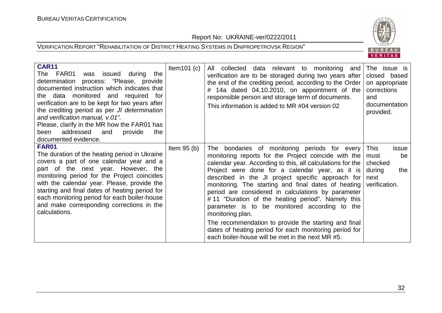Report No: UKRAINE-ver/0222/2011



| <b>CAR11</b><br>FAR01<br>was issued during<br>The<br>the<br>determination process: "Please, provide<br>documented instruction which indicates that<br>the data monitored and required<br>for<br>verification are to be kept for two years after<br>the crediting period as per JI determination<br>and verification manual, v.01".<br>Please, clarify in the MR how the FAR01 has<br>addressed<br>provide<br>and<br>the<br>been<br>documented evidence. | Item $101(c)$ | All collected data relevant to monitoring and<br>verification are to be storaged during two years after<br>the end of the crediting period, according to the Order<br>14a dated 04.10.2010, on appointment of the<br>responsible person and storage term of documents.<br>This information is added to MR #04 version 02                                                                                                                                                                                                                                                                                                                                                                 | The issue is<br>closed based<br>on appropriate<br>corrections<br>and<br>documentation<br>provided. |
|---------------------------------------------------------------------------------------------------------------------------------------------------------------------------------------------------------------------------------------------------------------------------------------------------------------------------------------------------------------------------------------------------------------------------------------------------------|---------------|------------------------------------------------------------------------------------------------------------------------------------------------------------------------------------------------------------------------------------------------------------------------------------------------------------------------------------------------------------------------------------------------------------------------------------------------------------------------------------------------------------------------------------------------------------------------------------------------------------------------------------------------------------------------------------------|----------------------------------------------------------------------------------------------------|
| <b>FAR01</b><br>The duration of the heating period in Ukraine<br>covers a part of one calendar year and a<br>part of the next year. However, the<br>monitoring period for the Project coincides<br>with the calendar year. Please, provide the<br>starting and final dates of heating period for<br>each monitoring period for each boiler-house<br>and make corresponding corrections in the<br>calculations.                                          | Item $95(b)$  | The bondaries of monitoring periods for every<br>monitoring reports for the Project coincide with the<br>calendar year. According to this, all calculations for the<br>Project were done for a calendar year, as it is<br>described in the JI project specific approach for<br>monitoring. The starting and final dates of heating<br>period are considered in calculations by parameter<br>#11 "Duration of the heating period". Namely this<br>parameter is to be monitored according to the<br>monitoring plan.<br>The recommendation to provide the starting and final<br>dates of heating period for each monitoring period for<br>each boiler-house will be met in the next MR #5. | <b>This</b><br>issue<br>must<br>be<br>checked<br>during<br>the<br>next<br>verification.            |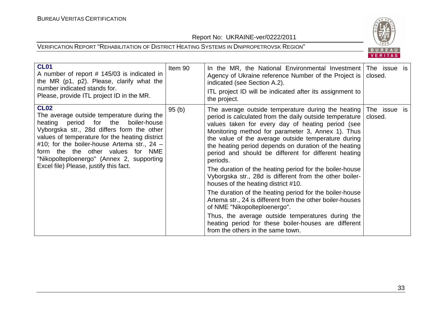

| <b>CL01</b><br>A number of report # 145/03 is indicated in<br>the MR (p1, p2). Please, clarify what the<br>number indicated stands for.<br>Please, provide ITL project ID in the MR.                                                                                                                                                                                             | Item 90 | In the MR, the National Environmental Investment<br>Agency of Ukraine reference Number of the Project is<br>indicated (see Section A.2).<br>ITL project ID will be indicated after its assignment to<br>the project.                                                                                                                                                                                                                                                                                                                                                                                                                                                                                                                                                                                                                                                               | The issue is<br>closed. |  |
|----------------------------------------------------------------------------------------------------------------------------------------------------------------------------------------------------------------------------------------------------------------------------------------------------------------------------------------------------------------------------------|---------|------------------------------------------------------------------------------------------------------------------------------------------------------------------------------------------------------------------------------------------------------------------------------------------------------------------------------------------------------------------------------------------------------------------------------------------------------------------------------------------------------------------------------------------------------------------------------------------------------------------------------------------------------------------------------------------------------------------------------------------------------------------------------------------------------------------------------------------------------------------------------------|-------------------------|--|
| <b>CL02</b><br>The average outside temperature during the<br>heating period for the<br>boiler-house<br>Vyborgska str., 28d differs form the other<br>values of temperature for the heating district<br>#10; for the boiler-house Artema str., $24 -$<br>form the the other values for NME<br>"Nikopolteploenergo" (Annex 2, supporting<br>Excel file) Please, justify this fact. | 95(b)   | The average outside temperature during the heating<br>period is calculated from the daily outside temperature<br>values taken for every day of heating period (see<br>Monitoring method for parameter 3, Annex 1). Thus<br>the value of the average outside temperature during<br>the heating period depends on duration of the heating<br>period and should be different for different heating<br>periods.<br>The duration of the heating period for the boiler-house<br>Vyborgska str., 28d is different from the other boiler-<br>houses of the heating district #10.<br>The duration of the heating period for the boiler-house<br>Artema str., 24 is different from the other boiler-houses<br>of NME "Nikopolteploenergo".<br>Thus, the average outside temperatures during the<br>heating period for these boiler-houses are different<br>from the others in the same town. | The issue is<br>closed. |  |